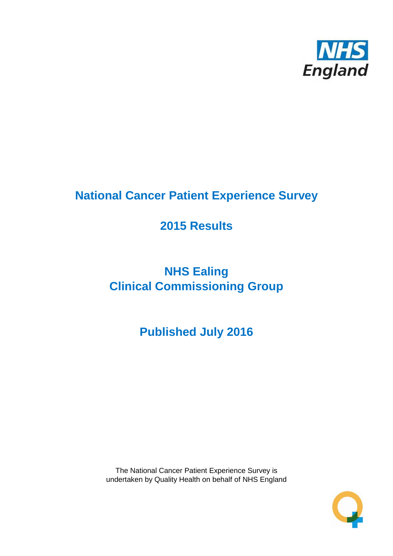

# **National Cancer Patient Experience Survey**

# **2015 Results**

# **NHS Ealing Clinical Commissioning Group**

# **Published July 2016**

The National Cancer Patient Experience Survey is undertaken by Quality Health on behalf of NHS England

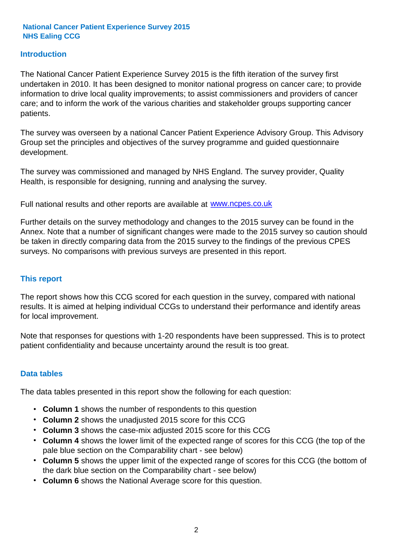### **Introduction**

The National Cancer Patient Experience Survey 2015 is the fifth iteration of the survey first undertaken in 2010. It has been designed to monitor national progress on cancer care; to provide information to drive local quality improvements; to assist commissioners and providers of cancer care; and to inform the work of the various charities and stakeholder groups supporting cancer patients.

The survey was overseen by a national Cancer Patient Experience Advisory Group. This Advisory Group set the principles and objectives of the survey programme and guided questionnaire development.

The survey was commissioned and managed by NHS England. The survey provider, Quality Health, is responsible for designing, running and analysing the survey.

Full national results and other reports are available at www.ncpes.co.uk

Further details on the survey methodology and changes to the 2015 survey can be found in the Annex. Note that a number of significant changes were made to the 2015 survey so caution should be taken in directly comparing data from the 2015 survey to the findings of the previous CPES surveys. No comparisons with previous surveys are presented in this report.

#### **This report**

The report shows how this CCG scored for each question in the survey, compared with national results. It is aimed at helping individual CCGs to understand their performance and identify areas for local improvement.

Note that responses for questions with 1-20 respondents have been suppressed. This is to protect patient confidentiality and because uncertainty around the result is too great.

#### **Data tables**

The data tables presented in this report show the following for each question:

- **Column 1** shows the number of respondents to this question
- **Column 2** shows the unadjusted 2015 score for this CCG
- **Column 3** shows the case-mix adjusted 2015 score for this CCG
- **Column 4** shows the lower limit of the expected range of scores for this CCG (the top of the pale blue section on the Comparability chart - see below)
- **Column 5** shows the upper limit of the expected range of scores for this CCG (the bottom of the dark blue section on the Comparability chart - see below)
- **Column 6** shows the National Average score for this question.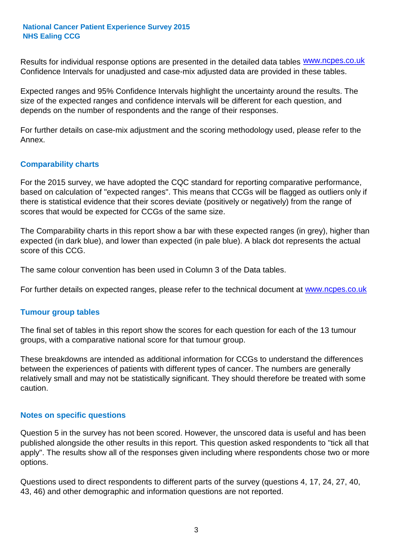Results for individual response options are presented in the detailed data tables **WWW.ncpes.co.uk** Confidence Intervals for unadjusted and case-mix adjusted data are provided in these tables.

Expected ranges and 95% Confidence Intervals highlight the uncertainty around the results. The size of the expected ranges and confidence intervals will be different for each question, and depends on the number of respondents and the range of their responses.

For further details on case-mix adjustment and the scoring methodology used, please refer to the Annex.

### **Comparability charts**

For the 2015 survey, we have adopted the CQC standard for reporting comparative performance, based on calculation of "expected ranges". This means that CCGs will be flagged as outliers only if there is statistical evidence that their scores deviate (positively or negatively) from the range of scores that would be expected for CCGs of the same size.

The Comparability charts in this report show a bar with these expected ranges (in grey), higher than expected (in dark blue), and lower than expected (in pale blue). A black dot represents the actual score of this CCG.

The same colour convention has been used in Column 3 of the Data tables.

For further details on expected ranges, please refer to the technical document at **www.ncpes.co.uk** 

#### **Tumour group tables**

The final set of tables in this report show the scores for each question for each of the 13 tumour groups, with a comparative national score for that tumour group.

These breakdowns are intended as additional information for CCGs to understand the differences between the experiences of patients with different types of cancer. The numbers are generally relatively small and may not be statistically significant. They should therefore be treated with some caution.

#### **Notes on specific questions**

Question 5 in the survey has not been scored. However, the unscored data is useful and has been published alongside the other results in this report. This question asked respondents to "tick all that apply". The results show all of the responses given including where respondents chose two or more options.

Questions used to direct respondents to different parts of the survey (questions 4, 17, 24, 27, 40, 43, 46) and other demographic and information questions are not reported.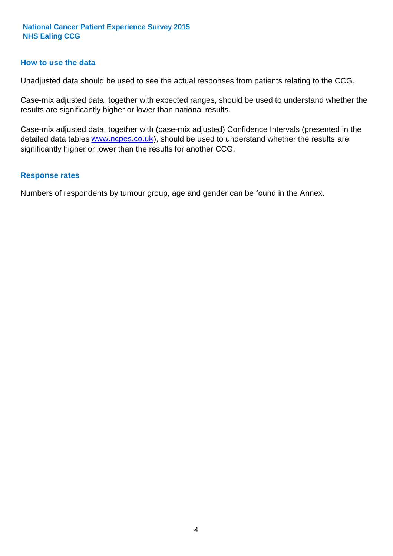#### **How to use the data**

Unadjusted data should be used to see the actual responses from patients relating to the CCG.

Case-mix adjusted data, together with expected ranges, should be used to understand whether the results are significantly higher or lower than national results.

Case-mix adjusted data, together with (case-mix adjusted) Confidence Intervals (presented in the detailed data tables **www.ncpes.co.uk**), should be used to understand whether the results are significantly higher or lower than the results for another CCG.

#### **Response rates**

Numbers of respondents by tumour group, age and gender can be found in the Annex.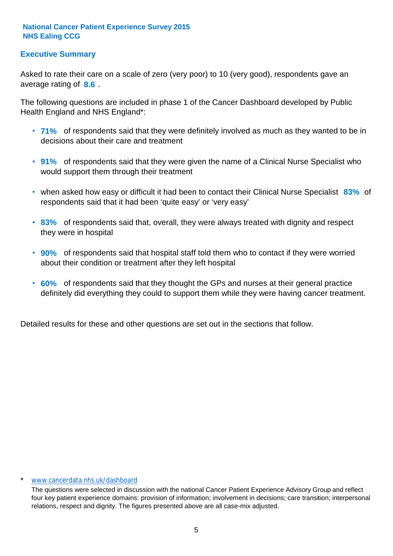# **Executive Summary**

average rating of 8.6. Asked to rate their care on a scale of zero (very poor) to 10 (very good), respondents gave an

The following questions are included in phase 1 of the Cancer Dashboard developed by Public Health England and NHS England\*:

- **71%** of respondents said that they were definitely involved as much as they wanted to be in decisions about their care and treatment
- **91%** of respondents said that they were given the name of a Clinical Nurse Specialist who would support them through their treatment
- when asked how easy or difficult it had been to contact their Clinical Nurse Specialist 83% of respondents said that it had been 'quite easy' or 'very easy'
- **83%** of respondents said that, overall, they were always treated with dignity and respect they were in hospital
- **90%** of respondents said that hospital staff told them who to contact if they were worried about their condition or treatment after they left hospital
- **60%** of respondents said that they thought the GPs and nurses at their general practice definitely did everything they could to support them while they were having cancer treatment.

Detailed results for these and other questions are set out in the sections that follow.

#### \* www.cancerdata.nhs.uk/dashboard

The questions were selected in discussion with the national Cancer Patient Experience Advisory Group and reflect four key patient experience domains: provision of information; involvement in decisions; care transition; interpersonal relations, respect and dignity. The figures presented above are all case-mix adjusted.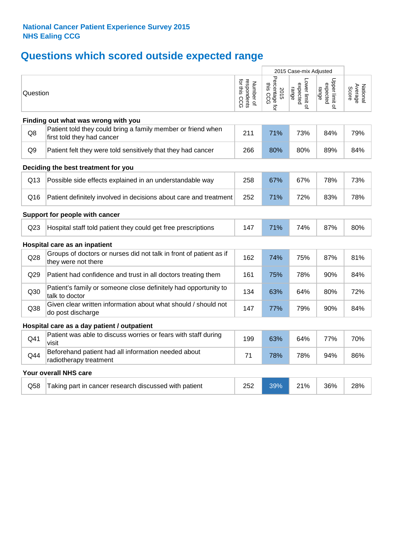# **Questions which scored outside expected range**

|                 |                                                                                            |                                          |                                    | 2015 Case-mix Adjusted              |                                     |                              |
|-----------------|--------------------------------------------------------------------------------------------|------------------------------------------|------------------------------------|-------------------------------------|-------------------------------------|------------------------------|
| Question        |                                                                                            | respondents<br>for this CCG<br>Number of | Percentage for<br>this CCG<br>2015 | Lower limit of<br>expected<br>range | Upper limit of<br>expected<br>range | Average<br>Score<br>National |
|                 | Finding out what was wrong with you                                                        |                                          |                                    |                                     |                                     |                              |
| Q8              | Patient told they could bring a family member or friend when<br>first told they had cancer | 211                                      | 71%                                | 73%                                 | 84%                                 | 79%                          |
| Q <sub>9</sub>  | Patient felt they were told sensitively that they had cancer                               | 266                                      | 80%                                | 80%                                 | 89%                                 | 84%                          |
|                 | Deciding the best treatment for you                                                        |                                          |                                    |                                     |                                     |                              |
| Q13             | Possible side effects explained in an understandable way                                   | 258                                      | 67%                                | 67%                                 | 78%                                 | 73%                          |
| Q16             | Patient definitely involved in decisions about care and treatment                          | 252                                      | 71%                                | 72%                                 | 83%                                 | 78%                          |
|                 | Support for people with cancer                                                             |                                          |                                    |                                     |                                     |                              |
| Q <sub>23</sub> | Hospital staff told patient they could get free prescriptions                              | 147                                      | 71%                                | 74%                                 | 87%                                 | 80%                          |
|                 | Hospital care as an inpatient                                                              |                                          |                                    |                                     |                                     |                              |
| Q28             | Groups of doctors or nurses did not talk in front of patient as if<br>they were not there  | 162                                      | 74%                                | 75%                                 | 87%                                 | 81%                          |
| Q29             | Patient had confidence and trust in all doctors treating them                              | 161                                      | 75%                                | 78%                                 | 90%                                 | 84%                          |
| Q30             | Patient's family or someone close definitely had opportunity to<br>talk to doctor          | 134                                      | 63%                                | 64%                                 | 80%                                 | 72%                          |
| Q38             | Given clear written information about what should / should not<br>do post discharge        | 147                                      | 77%                                | 79%                                 | 90%                                 | 84%                          |
|                 | Hospital care as a day patient / outpatient                                                |                                          |                                    |                                     |                                     |                              |
| Q41             | Patient was able to discuss worries or fears with staff during<br>visit                    | 199                                      | 63%                                | 64%                                 | 77%                                 | 70%                          |
| Q44             | Beforehand patient had all information needed about<br>radiotherapy treatment              | 71                                       | 78%                                | 78%                                 | 94%                                 | 86%                          |
|                 | Your overall NHS care                                                                      |                                          |                                    |                                     |                                     |                              |
| Q58             | Taking part in cancer research discussed with patient                                      | 252                                      | 39%                                | 21%                                 | 36%                                 | 28%                          |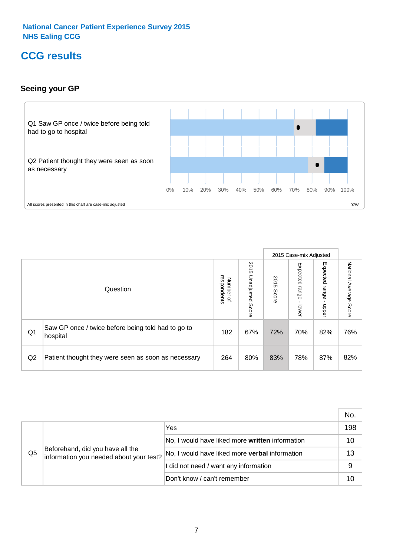# **CCG results**

# **Seeing your GP**



|                |                                                                |                                              |                             |               | 2015 Case-mix Adjusted     |                            |                        |
|----------------|----------------------------------------------------------------|----------------------------------------------|-----------------------------|---------------|----------------------------|----------------------------|------------------------|
|                | Question                                                       | respondents<br>Number<br>$\overline{\sigma}$ | 2015<br>Unadjusted<br>Score | 2015<br>Score | Expected<br>range<br>lower | Expected<br>range<br>nbber | National Average Score |
| Q <sub>1</sub> | Saw GP once / twice before being told had to go to<br>hospital | 182                                          | 67%                         | 72%           | 70%                        | 82%                        | 76%                    |
| Q2             | Patient thought they were seen as soon as necessary            | 264                                          | 80%                         | 83%           | 78%                        | 87%                        | 82%                    |

|                |                                                                             |                                                       | No. |
|----------------|-----------------------------------------------------------------------------|-------------------------------------------------------|-----|
|                | Beforehand, did you have all the<br>information you needed about your test? | Yes                                                   | 198 |
|                |                                                                             | No, I would have liked more written information       | 10  |
| Q <sub>5</sub> |                                                                             | No, I would have liked more <b>verbal</b> information | 13  |
|                |                                                                             | I did not need / want any information                 | 9   |
|                |                                                                             | Don't know / can't remember                           | 10  |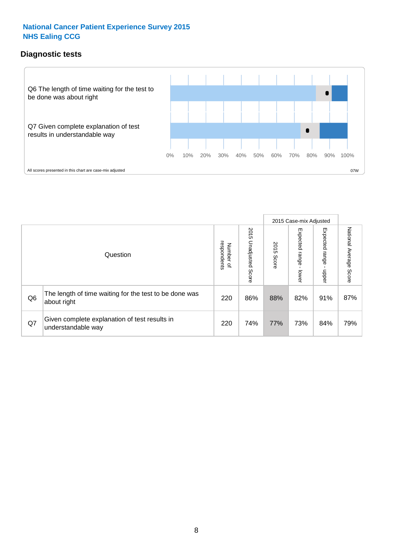# **Diagnostic tests**



|                |                                                                       |                                       |                             |               | 2015 Case-mix Adjusted       |                         |                           |
|----------------|-----------------------------------------------------------------------|---------------------------------------|-----------------------------|---------------|------------------------------|-------------------------|---------------------------|
|                | Question                                                              | respondents<br>Number<br>$\mathbf{Q}$ | 2015<br>Unadjusted<br>Score | 2015<br>Score | Expected<br>I range<br>lower | Expected range<br>nbber | National Average<br>Score |
| Q <sub>6</sub> | The length of time waiting for the test to be done was<br>about right | 220                                   | 86%                         | 88%           | 82%                          | 91%                     | 87%                       |
| Q7             | Given complete explanation of test results in<br>understandable way   | 220                                   | 74%                         | 77%           | 73%                          | 84%                     | 79%                       |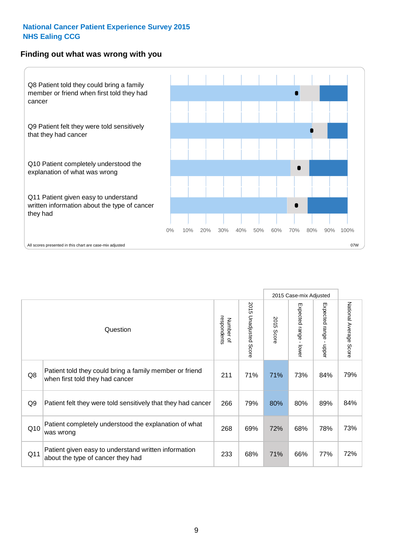#### **Finding out what was wrong with you**



|                |                                                                                            |                          |                       |               | 2015 Case-mix Adjusted                  |                           |                        |
|----------------|--------------------------------------------------------------------------------------------|--------------------------|-----------------------|---------------|-----------------------------------------|---------------------------|------------------------|
|                | Question                                                                                   | respondents<br>Number of | 2015 Unadjusted Score | 2015<br>Score | Expected range<br>$\mathbf{L}$<br>lower | Expected range -<br>nbber | National Average Score |
| Q8             | Patient told they could bring a family member or friend<br>when first told they had cancer | 211                      | 71%                   | 71%           | 73%                                     | 84%                       | 79%                    |
| Q <sub>9</sub> | Patient felt they were told sensitively that they had cancer                               | 266                      | 79%                   | 80%           | 80%                                     | 89%                       | 84%                    |
| Q10            | Patient completely understood the explanation of what<br>was wrong                         | 268                      | 69%                   | 72%           | 68%                                     | 78%                       | 73%                    |
| Q11            | Patient given easy to understand written information<br>about the type of cancer they had  | 233                      | 68%                   | 71%           | 66%                                     | 77%                       | 72%                    |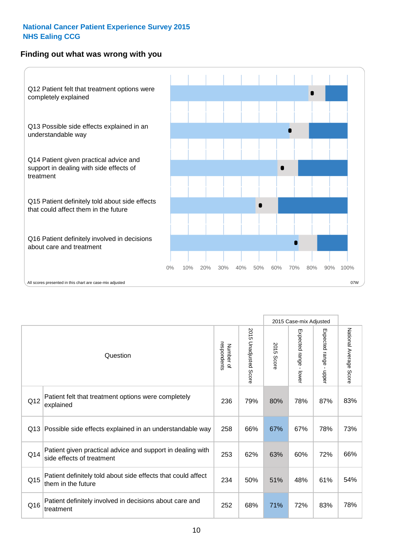# **Finding out what was wrong with you**



|     |                                                                                         |                          |                          |            | 2015 Case-mix Adjusted                  |                           |                        |
|-----|-----------------------------------------------------------------------------------------|--------------------------|--------------------------|------------|-----------------------------------------|---------------------------|------------------------|
|     | Question                                                                                | respondents<br>Number of | 2015<br>Unadjusted Score | 2015 Score | Expected range<br>$\mathbf{r}$<br>lower | Expected range -<br>nbber | National Average Score |
| Q12 | Patient felt that treatment options were completely<br>explained                        | 236                      | 79%                      | 80%        | 78%                                     | 87%                       | 83%                    |
| Q13 | Possible side effects explained in an understandable way                                | 258                      | 66%                      | 67%        | 67%                                     | 78%                       | 73%                    |
| Q14 | Patient given practical advice and support in dealing with<br>side effects of treatment | 253                      | 62%                      | 63%        | 60%                                     | 72%                       | 66%                    |
| Q15 | Patient definitely told about side effects that could affect<br>them in the future      | 234                      | 50%                      | 51%        | 48%                                     | 61%                       | 54%                    |
| Q16 | Patient definitely involved in decisions about care and<br>treatment                    | 252                      | 68%                      | 71%        | 72%                                     | 83%                       | 78%                    |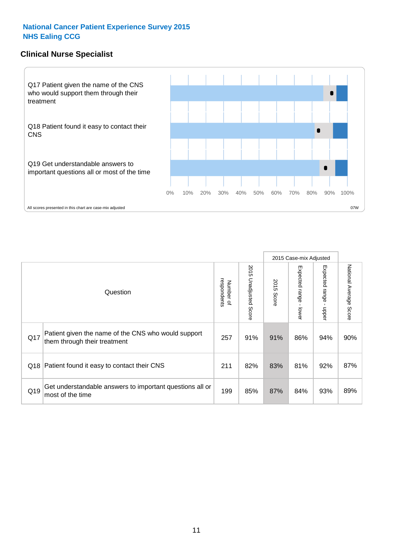# **Clinical Nurse Specialist**



|     |                                                                                     |                          |                       |               | 2015 Case-mix Adjusted  |                         |                        |
|-----|-------------------------------------------------------------------------------------|--------------------------|-----------------------|---------------|-------------------------|-------------------------|------------------------|
|     | Question                                                                            | Number of<br>respondents | 2015 Unadjusted Score | 2015<br>Score | Expected range<br>lower | Expected range<br>nbber | National Average Score |
| Q17 | Patient given the name of the CNS who would support<br>them through their treatment | 257                      | 91%                   | 91%           | 86%                     | 94%                     | 90%                    |
| Q18 | Patient found it easy to contact their CNS                                          | 211                      | 82%                   | 83%           | 81%                     | 92%                     | 87%                    |
| Q19 | Get understandable answers to important questions all or<br>most of the time        | 199                      | 85%                   | 87%           | 84%                     | 93%                     | 89%                    |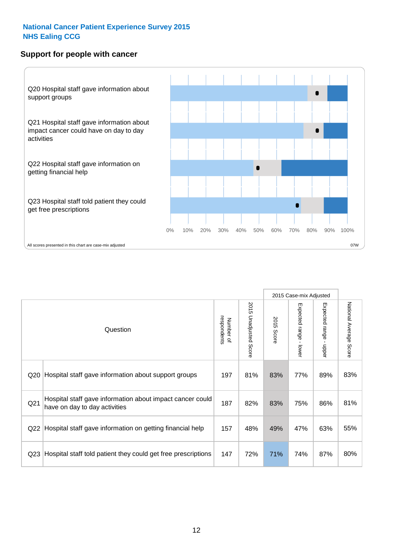# **Support for people with cancer**



|                 |                                                                                            |                          |                                 |               | 2015 Case-mix Adjusted  |                                           |                        |
|-----------------|--------------------------------------------------------------------------------------------|--------------------------|---------------------------------|---------------|-------------------------|-------------------------------------------|------------------------|
|                 | Question                                                                                   | respondents<br>Number of | 2015<br><b>Unadjusted Score</b> | 2015<br>Score | Expected range<br>lower | Expected range<br>$\blacksquare$<br>nbber | National Average Score |
| Q20             | Hospital staff gave information about support groups                                       | 197                      | 81%                             | 83%           | 77%                     | 89%                                       | 83%                    |
| Q <sub>21</sub> | Hospital staff gave information about impact cancer could<br>have on day to day activities | 187                      | 82%                             | 83%           | 75%                     | 86%                                       | 81%                    |
| Q22             | Hospital staff gave information on getting financial help                                  | 157                      | 48%                             | 49%           | 47%                     | 63%                                       | 55%                    |
| Q <sub>23</sub> | Hospital staff told patient they could get free prescriptions                              | 147                      | 72%                             | 71%           | 74%                     | 87%                                       | 80%                    |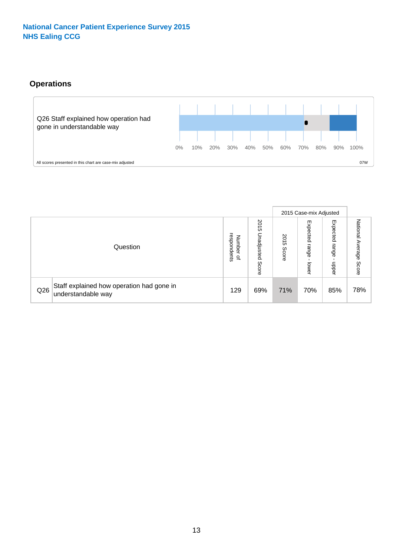# **Operations**



|     |                                                                 |                                   |                             |                   | 2015 Case-mix Adjusted     |                            |                              |
|-----|-----------------------------------------------------------------|-----------------------------------|-----------------------------|-------------------|----------------------------|----------------------------|------------------------------|
|     | Question                                                        | respondents<br>Number<br>$\Omega$ | 2015<br>Unadjusted<br>Score | 201<br>c<br>Score | Expected<br>range<br>lower | Expected<br>range<br>doper | National<br>Average<br>Score |
| Q26 | Staff explained how operation had gone in<br>understandable way | 129                               | 69%                         | 71%               | 70%                        | 85%                        | 78%                          |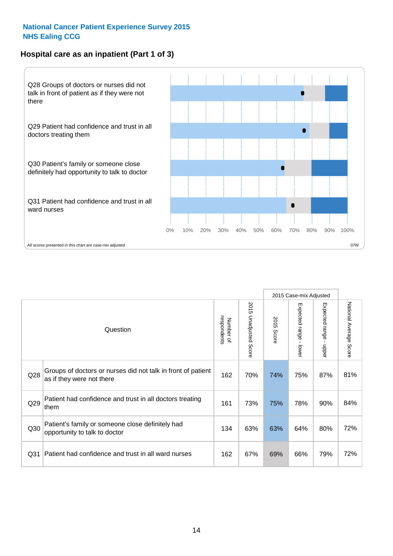# **Hospital care as an inpatient (Part 1 of 3)**



All scores presented in this chart are case-mix adjusted on the extent of the second percentage scores presented in this chart are case-mix adjusted on  $\sim$  07W

|                 |                                                                                           |                          |                                 |               | 2015 Case-mix Adjusted                    |                                           |                        |
|-----------------|-------------------------------------------------------------------------------------------|--------------------------|---------------------------------|---------------|-------------------------------------------|-------------------------------------------|------------------------|
|                 | Question                                                                                  | respondents<br>Number of | 2015<br><b>Unadjusted Score</b> | 2015<br>Score | Expected range<br>$\blacksquare$<br>lower | Expected range<br>$\blacksquare$<br>nbber | National Average Score |
| Q28             | Groups of doctors or nurses did not talk in front of patient<br>as if they were not there | 162                      | 70%                             | 74%           | 75%                                       | 87%                                       | 81%                    |
| Q29             | Patient had confidence and trust in all doctors treating<br>them                          | 161                      | 73%                             | 75%           | 78%                                       | 90%                                       | 84%                    |
| Q30             | Patient's family or someone close definitely had<br>opportunity to talk to doctor         | 134                      | 63%                             | 63%           | 64%                                       | 80%                                       | 72%                    |
| Q <sub>31</sub> | Patient had confidence and trust in all ward nurses                                       | 162                      | 67%                             | 69%           | 66%                                       | 79%                                       | 72%                    |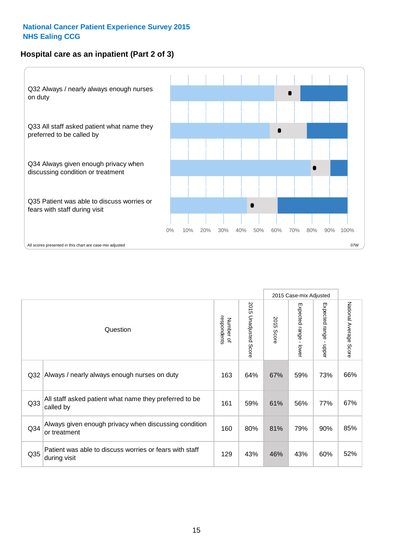# **Hospital care as an inpatient (Part 2 of 3)**



| Question                                                                | respondents<br>Number of | 2015 Unadjusted<br>Score | 2015<br>Score | Expected range - lower | Expected range<br>$\blacksquare$<br>nbber | National Average<br>Score |
|-------------------------------------------------------------------------|--------------------------|--------------------------|---------------|------------------------|-------------------------------------------|---------------------------|
| Always / nearly always enough nurses on duty                            | 163                      | 64%                      | 67%           | 59%                    | 73%                                       | 66%                       |
| All staff asked patient what name they preferred to be<br>called by     | 161                      | 59%                      | 61%           | 56%                    | 77%                                       | 67%                       |
| Always given enough privacy when discussing condition<br>or treatment   | 160                      | 80%                      | 81%           | 79%                    | 90%                                       | 85%                       |
| Patient was able to discuss worries or fears with staff<br>during visit | 129                      | 43%                      | 46%           | 43%                    | 60%                                       | 52%                       |
| Q33<br>Q34                                                              | Q32                      |                          |               |                        |                                           | 2015 Case-mix Adjusted    |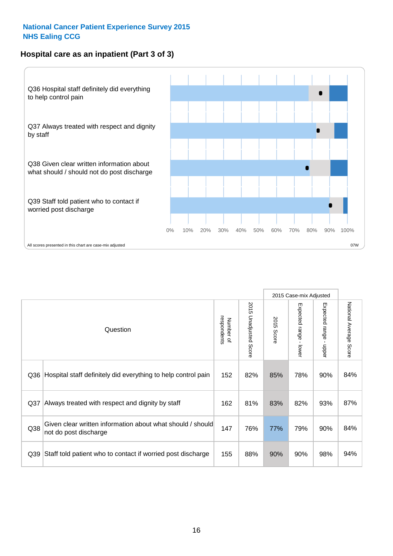# **Hospital care as an inpatient (Part 3 of 3)**



|     |                                                                                     |                          |                                 |               | 2015 Case-mix Adjusted                  |                                           |                        |
|-----|-------------------------------------------------------------------------------------|--------------------------|---------------------------------|---------------|-----------------------------------------|-------------------------------------------|------------------------|
|     | Question                                                                            | Number of<br>respondents | 2015<br><b>Unadjusted Score</b> | 2015<br>Score | Expected range<br>$\mathbf{I}$<br>lower | Expected range<br>$\blacksquare$<br>nbber | National Average Score |
| Q36 | Hospital staff definitely did everything to help control pain                       | 152                      | 82%                             | 85%           | 78%                                     | 90%                                       | 84%                    |
| Q37 | Always treated with respect and dignity by staff                                    | 162                      | 81%                             | 83%           | 82%                                     | 93%                                       | 87%                    |
| Q38 | Given clear written information about what should / should<br>not do post discharge | 147                      | 76%                             | 77%           | 79%                                     | 90%                                       | 84%                    |
| Q39 | Staff told patient who to contact if worried post discharge                         | 155                      | 88%                             | 90%           | 90%                                     | 98%                                       | 94%                    |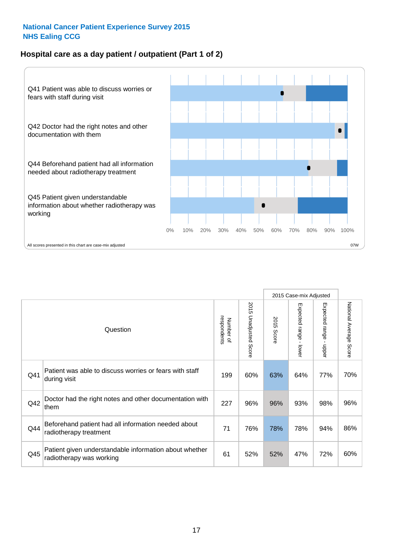# **Hospital care as a day patient / outpatient (Part 1 of 2)**



|     |                                                                                    |                          |                                 | 2015 Case-mix Adjusted |                                         |                                         |                        |
|-----|------------------------------------------------------------------------------------|--------------------------|---------------------------------|------------------------|-----------------------------------------|-----------------------------------------|------------------------|
|     | Question                                                                           | respondents<br>Number of | 2015<br><b>Unadjusted Score</b> | 2015<br><b>Score</b>   | Expected range<br>$\mathbf{r}$<br>lower | Expected range<br>$\mathbf{I}$<br>nbber | National Average Score |
| Q41 | Patient was able to discuss worries or fears with staff<br>during visit            | 199                      | 60%                             | 63%                    | 64%                                     | 77%                                     | 70%                    |
| Q42 | Doctor had the right notes and other documentation with<br>them                    | 227                      | 96%                             | 96%                    | 93%                                     | 98%                                     | 96%                    |
| Q44 | Beforehand patient had all information needed about<br>radiotherapy treatment      | 71                       | 76%                             | 78%                    | 78%                                     | 94%                                     | 86%                    |
| Q45 | Patient given understandable information about whether<br>radiotherapy was working | 61                       | 52%                             | 52%                    | 47%                                     | 72%                                     | 60%                    |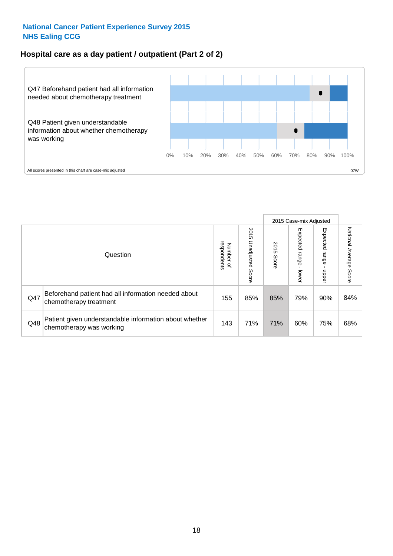# **Hospital care as a day patient / outpatient (Part 2 of 2)**



|     |                                                                                    |                                       |                             |               | 2015 Case-mix Adjusted      |                            |                           |
|-----|------------------------------------------------------------------------------------|---------------------------------------|-----------------------------|---------------|-----------------------------|----------------------------|---------------------------|
|     | Question                                                                           | respondents<br>Number<br>$\mathbf{Q}$ | 2015<br>Unadjusted<br>Score | 2015<br>Score | Expected<br> range<br>lower | Expected<br>range<br>nbber | National Average<br>Score |
| Q47 | Beforehand patient had all information needed about<br>chemotherapy treatment      | 155                                   | 85%                         | 85%           | 79%                         | 90%                        | 84%                       |
| Q48 | Patient given understandable information about whether<br>chemotherapy was working | 143                                   | 71%                         | 71%           | 60%                         | 75%                        | 68%                       |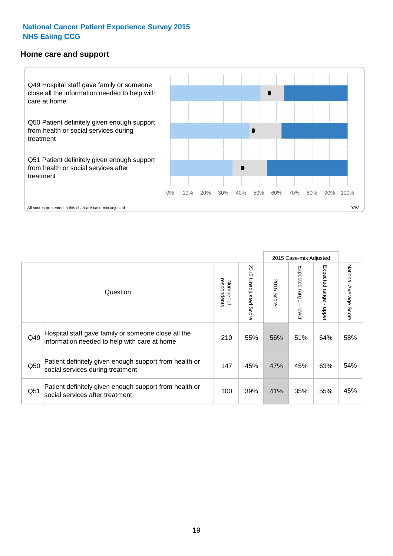#### **Home care and support**



All scores presented in this chart are case-mix adjusted

|     |                                                                                                     |                          |                       | 2015 Case-mix Adjusted |                         |                            |                                  |
|-----|-----------------------------------------------------------------------------------------------------|--------------------------|-----------------------|------------------------|-------------------------|----------------------------|----------------------------------|
|     | Question                                                                                            | respondents<br>Number of | 2015 Unadjusted Score | 2015<br>Score          | Expected range<br>lower | Expected<br>range<br>nbber | National Average<br><b>Score</b> |
| Q49 | Hospital staff gave family or someone close all the<br>information needed to help with care at home | 210                      | 55%                   | 56%                    | 51%                     | 64%                        | 58%                              |
| Q50 | Patient definitely given enough support from health or<br>social services during treatment          | 147                      | 45%                   | 47%                    | 45%                     | 63%                        | 54%                              |
| Q51 | Patient definitely given enough support from health or<br>social services after treatment           | 100                      | 39%                   | 41%                    | 35%                     | 55%                        | 45%                              |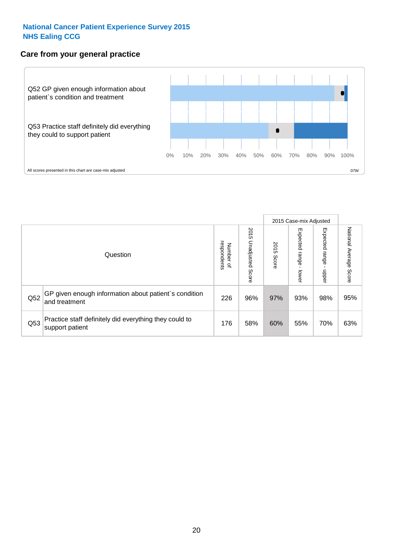# **Care from your general practice**



|     |                                                                           |                                       |                             |               | 2015 Case-mix Adjusted      |                            |                           |
|-----|---------------------------------------------------------------------------|---------------------------------------|-----------------------------|---------------|-----------------------------|----------------------------|---------------------------|
|     | Question                                                                  | respondents<br>Number<br>$\mathbf{Q}$ | 2015<br>Unadjusted<br>Score | 2015<br>Score | Expected<br>Irange<br>lower | Expected<br>range<br>nbber | National Average<br>Score |
| Q52 | GP given enough information about patient's condition<br>and treatment    | 226                                   | 96%                         | 97%           | 93%                         | 98%                        | 95%                       |
| Q53 | Practice staff definitely did everything they could to<br>support patient | 176                                   | 58%                         | 60%           | 55%                         | 70%                        | 63%                       |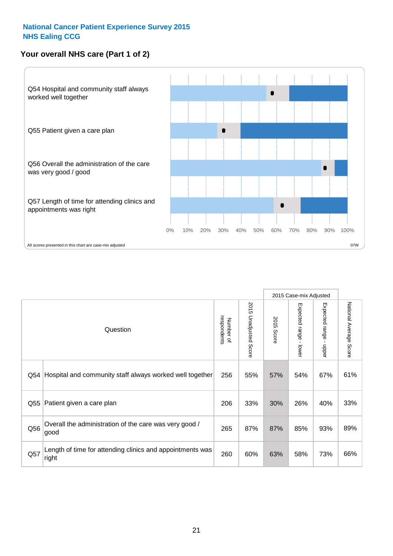# **Your overall NHS care (Part 1 of 2)**



|     |                                                                    |                          |                          | 2015 Case-mix Adjusted |                                           |                                           |                        |
|-----|--------------------------------------------------------------------|--------------------------|--------------------------|------------------------|-------------------------------------------|-------------------------------------------|------------------------|
|     | Question                                                           | respondents<br>Number of | 2015<br>Unadjusted Score | 2015<br>Score          | Expected range<br>$\blacksquare$<br>lower | Expected range<br>$\blacksquare$<br>nbber | National Average Score |
| Q54 | Hospital and community staff always worked well together           | 256                      | 55%                      | 57%                    | 54%                                       | 67%                                       | 61%                    |
| Q55 | Patient given a care plan                                          | 206                      | 33%                      | 30%                    | 26%                                       | 40%                                       | 33%                    |
| Q56 | Overall the administration of the care was very good /<br>good     | 265                      | 87%                      | 87%                    | 85%                                       | 93%                                       | 89%                    |
| Q57 | Length of time for attending clinics and appointments was<br>right | 260                      | 60%                      | 63%                    | 58%                                       | 73%                                       | 66%                    |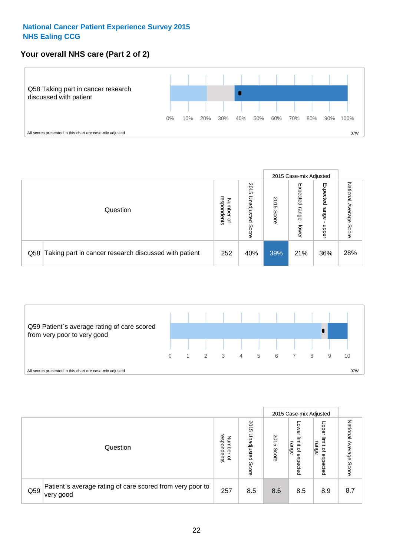# **Your overall NHS care (Part 2 of 2)**



|     |                                                       |                                         |                             |               |                            | 2015 Case-mix Adjusted     |                        |
|-----|-------------------------------------------------------|-----------------------------------------|-----------------------------|---------------|----------------------------|----------------------------|------------------------|
|     | Question                                              | respondents<br>Number<br>$\overline{a}$ | 2015<br>Jnadjusted<br>Score | 2015<br>Score | Expected<br>range<br>lower | Expected<br>range<br>doper | National Average Score |
| Q58 | Taking part in cancer research discussed with patient | 252                                     | 40%                         | 39%           | 21%                        | 36%                        | 28%                    |



|     |                                                                        |                                   |                             |               |                                                           | 2015 Case-mix Adjusted                                          |                              |
|-----|------------------------------------------------------------------------|-----------------------------------|-----------------------------|---------------|-----------------------------------------------------------|-----------------------------------------------------------------|------------------------------|
|     | Question                                                               | respondents<br>Number<br>$\Omega$ | 2015<br>Inadjusted<br>Score | 2015<br>Score | OWer<br>limit<br>range<br>$\overline{\sigma}$<br>expected | Upper<br>limit<br>range<br>$\overline{\mathcal{C}}$<br>expected | National<br>Average<br>Score |
| Q59 | Patient's average rating of care scored from very poor to<br>very good | 257                               | 8.5                         | 8.6           | 8.5                                                       | 8.9                                                             | 8.7                          |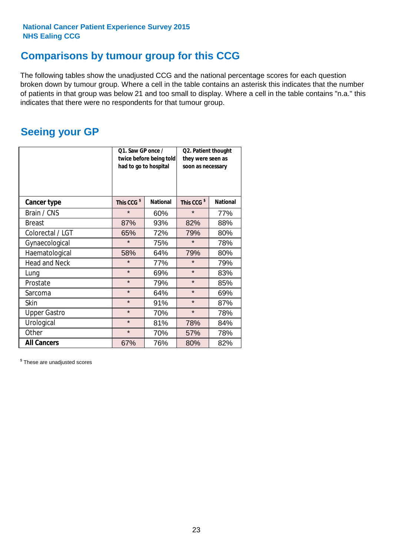# **Comparisons by tumour group for this CCG**

The following tables show the unadjusted CCG and the national percentage scores for each question broken down by tumour group. Where a cell in the table contains an asterisk this indicates that the number of patients in that group was below 21 and too small to display. Where a cell in the table contains "n.a." this indicates that there were no respondents for that tumour group.

# **Seeing your GP**

|                      | Q1. Saw GP once /<br>had to go to hospital | twice before being told | Q2. Patient thought<br>they were seen as<br>soon as necessary |                 |  |
|----------------------|--------------------------------------------|-------------------------|---------------------------------------------------------------|-----------------|--|
| <b>Cancer type</b>   | This CCG <sup>\$</sup>                     | <b>National</b>         | This CCG <sup>\$</sup>                                        | <b>National</b> |  |
| Brain / CNS          | $\star$                                    | 60%                     | $\star$                                                       | 77%             |  |
| <b>Breast</b>        | 87%                                        | 93%                     | 82%                                                           | 88%             |  |
| Colorectal / LGT     | 65%                                        | 72%                     | 79%                                                           | 80%             |  |
| Gynaecological       | $\star$                                    | 75%                     | $\star$                                                       | 78%             |  |
| Haematological       | 58%                                        | 64%                     | 79%                                                           | 80%             |  |
| <b>Head and Neck</b> | $\star$                                    | 77%                     | $\star$                                                       | 79%             |  |
| Lung                 | $\star$                                    | 69%                     | $\star$                                                       | 83%             |  |
| Prostate             | $\star$                                    | 79%                     | $\star$                                                       | 85%             |  |
| Sarcoma              | $\star$                                    | 64%                     | $\star$                                                       | 69%             |  |
| Skin                 | $\star$                                    | 91%                     | $\star$                                                       | 87%             |  |
| <b>Upper Gastro</b>  | $\star$                                    | 70%                     | $\star$                                                       | 78%             |  |
| Urological           | $\star$                                    | 81%                     | 78%                                                           | 84%             |  |
| Other                | $\star$                                    | 70%                     | 57%                                                           | 78%             |  |
| <b>All Cancers</b>   | 67%                                        | 76%                     | 80%                                                           | 82%             |  |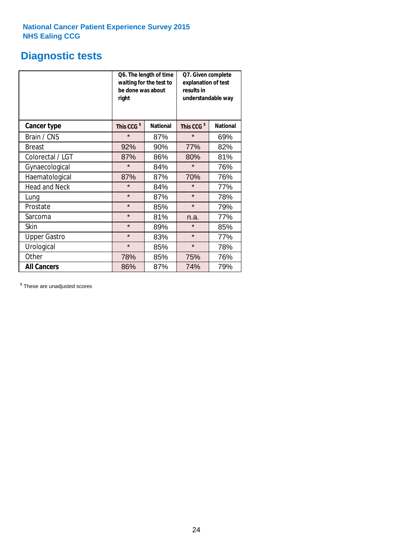# **Diagnostic tests**

|                      | be done was about<br>right | Q6. The length of time<br>waiting for the test to | Q7. Given complete<br>explanation of test<br>results in<br>understandable way |                 |  |
|----------------------|----------------------------|---------------------------------------------------|-------------------------------------------------------------------------------|-----------------|--|
| <b>Cancer type</b>   | This CCG <sup>\$</sup>     | <b>National</b>                                   | This CCG <sup>\$</sup>                                                        | <b>National</b> |  |
| Brain / CNS          | $\star$                    | 87%                                               | $\star$                                                                       | 69%             |  |
| <b>Breast</b>        | 92%                        | 90%                                               | 77%                                                                           | 82%             |  |
| Colorectal / LGT     | 87%                        | 86%                                               | 80%                                                                           | 81%             |  |
| Gynaecological       | $\star$                    | 84%                                               | $\star$                                                                       | 76%             |  |
| Haematological       | 87%                        | 87%                                               | 70%                                                                           | 76%             |  |
| <b>Head and Neck</b> | $\star$                    | 84%                                               | $\star$                                                                       | 77%             |  |
| Lung                 | $\star$                    | 87%                                               | $\star$                                                                       | 78%             |  |
| Prostate             | $\star$                    | 85%                                               | $\star$                                                                       | 79%             |  |
| Sarcoma              | $\star$                    | 81%                                               | n.a.                                                                          | 77%             |  |
| Skin                 | $\star$                    | 89%                                               | $\star$                                                                       | 85%             |  |
| <b>Upper Gastro</b>  | $\star$                    | 83%                                               | $\star$                                                                       | 77%             |  |
| Urological           | $\star$                    | 85%                                               | $\star$                                                                       | 78%             |  |
| Other                | 78%<br>85%                 |                                                   | 75%                                                                           | 76%             |  |
| <b>All Cancers</b>   | 86%                        | 87%                                               | 74%                                                                           | 79%             |  |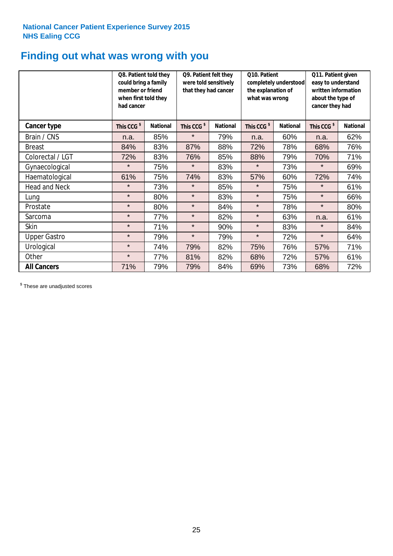# **Finding out what was wrong with you**

|                      | Q8. Patient told they<br>could bring a family<br>member or friend<br>when first told they<br>had cancer |                 | Q9. Patient felt they<br>were told sensitively<br>that they had cancer |                 | Q10. Patient<br>completely understood<br>the explanation of<br>what was wrong |                 | Q11. Patient given<br>easy to understand<br>written information<br>about the type of<br>cancer they had |                 |
|----------------------|---------------------------------------------------------------------------------------------------------|-----------------|------------------------------------------------------------------------|-----------------|-------------------------------------------------------------------------------|-----------------|---------------------------------------------------------------------------------------------------------|-----------------|
| Cancer type          | This CCG <sup>\$</sup>                                                                                  | <b>National</b> | This CCG <sup>\$</sup>                                                 | <b>National</b> | This CCG <sup>\$</sup>                                                        | <b>National</b> | This CCG <sup>\$</sup>                                                                                  | <b>National</b> |
| Brain / CNS          | n.a.                                                                                                    | 85%             | $\star$                                                                | 79%             | n.a.                                                                          | 60%             | n.a.                                                                                                    | 62%             |
| <b>Breast</b>        | 84%                                                                                                     | 83%             | 87%                                                                    | 88%             | 72%                                                                           | 78%             | 68%                                                                                                     | 76%             |
| Colorectal / LGT     | 72%                                                                                                     | 83%             | 76%                                                                    | 85%             | 88%                                                                           | 79%             | 70%                                                                                                     | 71%             |
| Gynaecological       | $\star$                                                                                                 | 75%             | $\star$                                                                | 83%             | $\star$                                                                       | 73%             | $\star$                                                                                                 | 69%             |
| Haematological       | 61%                                                                                                     | 75%             | 74%                                                                    | 83%             | 57%                                                                           | 60%             | 72%                                                                                                     | 74%             |
| <b>Head and Neck</b> | $\star$                                                                                                 | 73%             | $\star$                                                                | 85%             | $\star$                                                                       | 75%             | $\star$                                                                                                 | 61%             |
| Lung                 | $\star$                                                                                                 | 80%             | $\star$                                                                | 83%             | $\star$                                                                       | 75%             | $\star$                                                                                                 | 66%             |
| Prostate             | $\star$                                                                                                 | 80%             | $\star$                                                                | 84%             | $\star$                                                                       | 78%             | $\star$                                                                                                 | 80%             |
| Sarcoma              | $\star$                                                                                                 | 77%             | $\star$                                                                | 82%             | $\star$                                                                       | 63%             | n.a.                                                                                                    | 61%             |
| Skin                 | $\star$                                                                                                 | 71%             | $\star$                                                                | 90%             | $\star$                                                                       | 83%             | $\star$                                                                                                 | 84%             |
| <b>Upper Gastro</b>  | $\star$                                                                                                 | 79%             | $\star$                                                                | 79%             | $\star$                                                                       | 72%             | $\star$                                                                                                 | 64%             |
| Urological           | $\star$                                                                                                 | 74%             | 79%                                                                    | 82%             | 75%                                                                           | 76%             | 57%                                                                                                     | 71%             |
| Other                | $\star$                                                                                                 | 77%             | 81%                                                                    | 82%             | 68%                                                                           | 72%             | 57%                                                                                                     | 61%             |
| <b>All Cancers</b>   | 71%                                                                                                     | 79%             | 79%                                                                    | 84%             | 69%                                                                           | 73%             | 68%                                                                                                     | 72%             |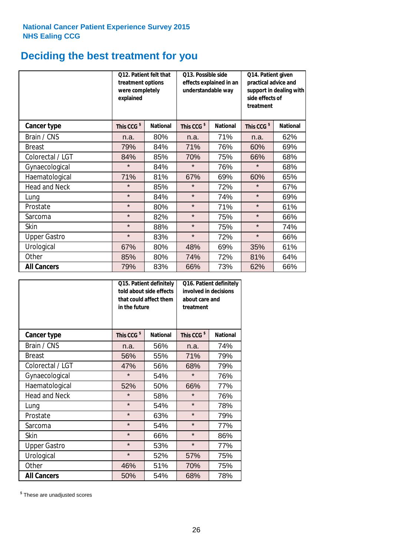# **Deciding the best treatment for you**

|                      | <b>O12. Patient felt that</b><br>treatment options<br>were completely<br>explained |                 | O13. Possible side<br>effects explained in an<br>understandable way<br><b>National</b> |     | Q14. Patient given<br>practical advice and<br>support in dealing with<br>side effects of<br>treatment |                 |  |
|----------------------|------------------------------------------------------------------------------------|-----------------|----------------------------------------------------------------------------------------|-----|-------------------------------------------------------------------------------------------------------|-----------------|--|
| <b>Cancer type</b>   | This CCG <sup>\$</sup>                                                             | <b>National</b> | This CCG <sup>\$</sup>                                                                 |     | This CCG <sup>\$</sup>                                                                                | <b>National</b> |  |
| Brain / CNS          | n.a.                                                                               | 80%             | n.a.                                                                                   | 71% | n.a.                                                                                                  | 62%             |  |
| <b>Breast</b>        | 79%                                                                                | 84%             | 71%                                                                                    | 76% | 60%                                                                                                   | 69%             |  |
| Colorectal / LGT     | 84%                                                                                | 85%             | 70%                                                                                    | 75% | 66%                                                                                                   | 68%             |  |
| Gynaecological       | $\star$                                                                            | 84%             | $\star$                                                                                | 76% | $\star$                                                                                               | 68%             |  |
| Haematological       | 71%                                                                                | 81%             | 67%                                                                                    | 69% | 60%                                                                                                   | 65%             |  |
| <b>Head and Neck</b> | $\star$                                                                            | 85%             | $\star$                                                                                | 72% | $\star$                                                                                               | 67%             |  |
| Lung                 | $\star$                                                                            | 84%             | $\star$                                                                                | 74% | $\star$                                                                                               | 69%             |  |
| Prostate             | $\star$                                                                            | 80%             | $\star$                                                                                | 71% | $\star$                                                                                               | 61%             |  |
| Sarcoma              | $\star$                                                                            | 82%             | $\star$                                                                                | 75% | $\star$                                                                                               | 66%             |  |
| Skin                 | $\star$                                                                            | 88%             | $\star$                                                                                | 75% | $\star$                                                                                               | 74%             |  |
| <b>Upper Gastro</b>  | $\star$                                                                            | 83%             | $\star$                                                                                | 72% | $\star$                                                                                               | 66%             |  |
| Urological           | 67%                                                                                | 80%             | 48%                                                                                    | 69% | 35%                                                                                                   | 61%             |  |
| Other                | 85%                                                                                | 80%             | 74%                                                                                    | 72% | 81%                                                                                                   | 64%             |  |
| <b>All Cancers</b>   | 79%                                                                                | 83%             | 66%                                                                                    | 73% | 62%                                                                                                   | 66%             |  |

|                      | in the future          | Q15. Patient definitely<br>told about side effects<br>that could affect them | Q16. Patient definitely<br>involved in decisions<br>about care and<br>treatment |                 |  |
|----------------------|------------------------|------------------------------------------------------------------------------|---------------------------------------------------------------------------------|-----------------|--|
| <b>Cancer type</b>   | This CCG <sup>\$</sup> | <b>National</b>                                                              | This CCG <sup>\$</sup>                                                          | <b>National</b> |  |
| Brain / CNS          | n.a.                   | 56%                                                                          | n.a.                                                                            | 74%             |  |
| <b>Breast</b>        | 56%                    | 55%                                                                          | 71%                                                                             | 79%             |  |
| Colorectal / LGT     | 47%                    | 56%                                                                          | 68%                                                                             | 79%             |  |
| Gynaecological       | $\star$                | 54%                                                                          |                                                                                 | 76%             |  |
| Haematological       | 52%<br>50%             |                                                                              | 66%                                                                             | 77%             |  |
| <b>Head and Neck</b> | $\star$                | 58%                                                                          | $\star$                                                                         | 76%             |  |
| Lung                 | $\star$                | 54%                                                                          | $\star$                                                                         | 78%             |  |
| Prostate             | $\star$                | 63%                                                                          | $\star$                                                                         | 79%             |  |
| Sarcoma              | $\star$                | 54%                                                                          | $\star$                                                                         | 77%             |  |
| Skin                 | $\star$                | 66%                                                                          | $\star$                                                                         | 86%             |  |
| <b>Upper Gastro</b>  | $\star$                | 53%                                                                          | $\star$                                                                         | 77%             |  |
| Urological           | $\star$                | 52%                                                                          | 57%                                                                             | 75%             |  |
| Other                | 46%                    | 51%                                                                          | 70%                                                                             | 75%             |  |
| <b>All Cancers</b>   | 50%                    | 54%                                                                          | 68%                                                                             | 78%             |  |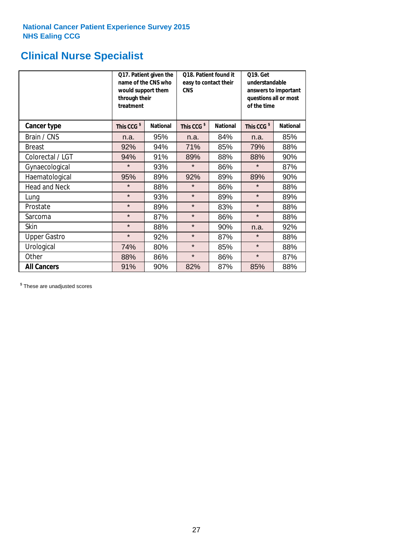# **Clinical Nurse Specialist**

|                      | would support them<br>through their<br>treatment | Q17. Patient given the<br>name of the CNS who | Q18. Patient found it<br>easy to contact their<br><b>CNS</b> |                 | <b>Q19. Get</b><br>understandable<br>answers to important<br>questions all or most<br>of the time |                 |
|----------------------|--------------------------------------------------|-----------------------------------------------|--------------------------------------------------------------|-----------------|---------------------------------------------------------------------------------------------------|-----------------|
| <b>Cancer type</b>   | This CCG <sup>\$</sup>                           | <b>National</b>                               | This CCG <sup>\$</sup>                                       | <b>National</b> | This CCG <sup>\$</sup>                                                                            | <b>National</b> |
| Brain / CNS          | n.a.                                             | 95%                                           | n.a.                                                         | 84%             | n.a.                                                                                              | 85%             |
| <b>Breast</b>        | 92%                                              | 94%                                           | 71%                                                          | 85%             | 79%                                                                                               | 88%             |
| Colorectal / LGT     | 94%                                              | 91%                                           | 89%                                                          | 88%             | 88%                                                                                               | 90%             |
| Gynaecological       | $\star$                                          | 93%                                           | $\star$                                                      | 86%             | $\star$                                                                                           | 87%             |
| Haematological       | 95%                                              | 89%                                           | 92%<br>89%                                                   |                 | 89%                                                                                               | 90%             |
| <b>Head and Neck</b> | $\star$                                          | 88%                                           | $\star$                                                      | 86%             | $\star$                                                                                           | 88%             |
| Lung                 | $\star$                                          | 93%                                           | $\star$                                                      | 89%             | $\star$                                                                                           | 89%             |
| Prostate             | $\star$                                          | 89%                                           | $\star$                                                      | 83%             | $\star$                                                                                           | 88%             |
| Sarcoma              | $\star$                                          | 87%                                           | $\star$                                                      | 86%             | $\star$                                                                                           | 88%             |
| Skin                 | $\star$                                          | 88%                                           | $\star$                                                      | 90%             | n.a.                                                                                              | 92%             |
| <b>Upper Gastro</b>  | $\star$                                          | 92%                                           | $\star$                                                      | 87%             | $\star$                                                                                           | 88%             |
| Urological           | 74%                                              | 80%                                           | $\star$                                                      | 85%             | $\star$                                                                                           | 88%             |
| Other                | 88%                                              | 86%                                           | $\star$                                                      | 86%             | $\star$                                                                                           | 87%             |
| <b>All Cancers</b>   | 91%                                              | 90%                                           | 82%                                                          | 87%             | 85%                                                                                               | 88%             |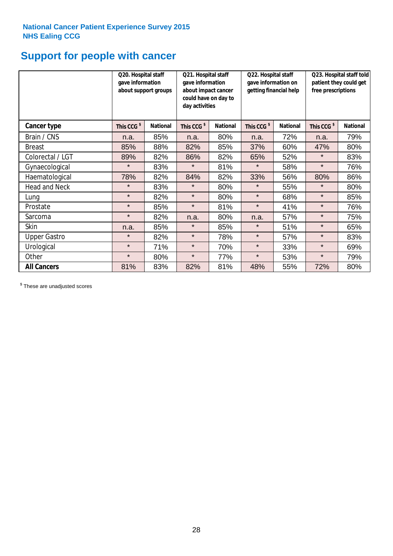# **Support for people with cancer**

|                      |                        | Q20. Hospital staff<br>gave information<br>about support groups |                        | Q21. Hospital staff<br>gave information<br>about impact cancer<br>could have on day to<br>day activities | Q22. Hospital staff<br>gave information on<br>getting financial help |                 | Q23. Hospital staff told<br>patient they could get<br>free prescriptions |                 |
|----------------------|------------------------|-----------------------------------------------------------------|------------------------|----------------------------------------------------------------------------------------------------------|----------------------------------------------------------------------|-----------------|--------------------------------------------------------------------------|-----------------|
| <b>Cancer type</b>   | This CCG <sup>\$</sup> | <b>National</b>                                                 | This CCG <sup>\$</sup> | <b>National</b>                                                                                          | This CCG <sup>\$</sup>                                               | <b>National</b> | This CCG <sup>\$</sup>                                                   | <b>National</b> |
| Brain / CNS          | n.a.                   | 85%                                                             | n.a.                   | 80%                                                                                                      | n.a.                                                                 | 72%             | n.a.                                                                     | 79%             |
| <b>Breast</b>        | 85%                    | 88%                                                             | 82%                    | 85%                                                                                                      | 37%                                                                  | 60%             | 47%                                                                      | 80%             |
| Colorectal / LGT     | 89%                    | 82%                                                             | 86%                    | 82%                                                                                                      | 65%                                                                  | 52%             | $\star$                                                                  | 83%             |
| Gynaecological       | $\star$                | 83%                                                             | $\star$                | 81%                                                                                                      | $\star$                                                              | 58%             | $\star$                                                                  | 76%             |
| Haematological       | 78%                    | 82%                                                             | 84%                    | 82%                                                                                                      | 33%                                                                  | 56%             | 80%                                                                      | 86%             |
| <b>Head and Neck</b> | $\star$                | 83%                                                             | $\star$                | 80%                                                                                                      | $\star$                                                              | 55%             | $\star$                                                                  | 80%             |
| Lung                 | $\star$                | 82%                                                             | $\star$                | 80%                                                                                                      | $\star$                                                              | 68%             | $\star$                                                                  | 85%             |
| Prostate             | $\star$                | 85%                                                             | $\star$                | 81%                                                                                                      | $\star$                                                              | 41%             | $\star$                                                                  | 76%             |
| Sarcoma              | $\star$                | 82%                                                             | n.a.                   | 80%                                                                                                      | n.a.                                                                 | 57%             | $\star$                                                                  | 75%             |
| Skin                 | n.a.                   | 85%                                                             | $\star$                | 85%                                                                                                      | $\star$                                                              | 51%             | $\star$                                                                  | 65%             |
| <b>Upper Gastro</b>  | $\star$                | 82%                                                             | $\star$                | 78%                                                                                                      | $\star$                                                              | 57%             | $\star$                                                                  | 83%             |
| Urological           | $\star$                | 71%                                                             | $\star$                | 70%                                                                                                      | $\star$                                                              | 33%             | $\star$                                                                  | 69%             |
| Other                | $\star$                | 80%                                                             | $\star$                | 77%                                                                                                      | $\star$                                                              | 53%             | $\star$                                                                  | 79%             |
| <b>All Cancers</b>   | 81%                    | 83%                                                             | 82%                    | 81%                                                                                                      | 48%                                                                  | 55%             | 72%                                                                      | 80%             |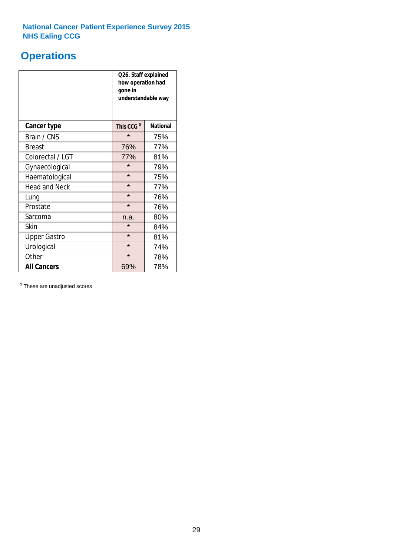# **Operations**

|                      | Q26. Staff explained<br>how operation had<br>gone in<br>understandable way |                 |  |  |  |
|----------------------|----------------------------------------------------------------------------|-----------------|--|--|--|
| <b>Cancer type</b>   | This CCG <sup>\$</sup>                                                     | <b>National</b> |  |  |  |
| Brain / CNS          | $\star$                                                                    | 75%             |  |  |  |
| <b>Breast</b>        | 76%                                                                        | 77%             |  |  |  |
| Colorectal / LGT     | 77%                                                                        | 81%             |  |  |  |
| Gynaecological       | $\star$                                                                    | 79%             |  |  |  |
| Haematological       | $\star$<br>75%                                                             |                 |  |  |  |
| <b>Head and Neck</b> | $\star$                                                                    | 77%             |  |  |  |
| Lung                 | $\star$                                                                    | 76%             |  |  |  |
| Prostate             | $\star$                                                                    | 76%             |  |  |  |
| Sarcoma              | n.a.                                                                       | 80%             |  |  |  |
| Skin                 | $\star$                                                                    | 84%             |  |  |  |
| <b>Upper Gastro</b>  | $\star$                                                                    | 81%             |  |  |  |
| Urological           | $\star$                                                                    | 74%             |  |  |  |
| Other                | $\star$<br>78%                                                             |                 |  |  |  |
| <b>All Cancers</b>   | 69%                                                                        | 78%             |  |  |  |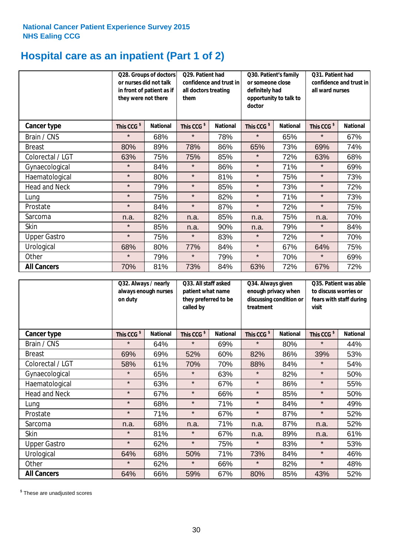# **Hospital care as an inpatient (Part 1 of 2)**

|                      | or nurses did not talk<br>they were not there | Q28. Groups of doctors<br>in front of patient as if | Q29. Patient had<br>confidence and trust in<br>all doctors treating<br>them |                 | Q30. Patient's family<br>or someone close<br>definitely had<br>opportunity to talk to<br>doctor |                 | Q31. Patient had<br>confidence and trust in<br>all ward nurses |                 |
|----------------------|-----------------------------------------------|-----------------------------------------------------|-----------------------------------------------------------------------------|-----------------|-------------------------------------------------------------------------------------------------|-----------------|----------------------------------------------------------------|-----------------|
| Cancer type          | This CCG <sup>\$</sup>                        | <b>National</b>                                     | This CCG <sup>\$</sup>                                                      | <b>National</b> | This CCG <sup>\$</sup>                                                                          | <b>National</b> | This CCG <sup>\$</sup>                                         | <b>National</b> |
| Brain / CNS          | $\star$                                       | 68%                                                 | $\star$                                                                     | 78%             | $\star$                                                                                         | 65%             | $\star$                                                        | 67%             |
| <b>Breast</b>        | 80%                                           | 89%                                                 | 78%                                                                         | 86%             | 65%                                                                                             | 73%             | 69%                                                            | 74%             |
| Colorectal / LGT     | 63%                                           | 75%                                                 | 75%                                                                         | 85%             | $\star$                                                                                         | 72%             | 63%                                                            | 68%             |
| Gynaecological       | $\star$                                       | 84%                                                 | $\star$                                                                     | 86%             | $\star$                                                                                         | 71%             | $\star$                                                        | 69%             |
| Haematological       | $\star$                                       | 80%                                                 | $\star$                                                                     | 81%             | $\star$                                                                                         | 75%             | $\star$                                                        | 73%             |
| <b>Head and Neck</b> | $\star$                                       | 79%                                                 | $\star$                                                                     | 85%             | $\star$                                                                                         | 73%             | $\star$                                                        | 72%             |
| Lung                 | $\star$                                       | 75%                                                 | $\star$                                                                     | 82%             | $\star$                                                                                         | 71%             | $\star$                                                        | 73%             |
| Prostate             | $\star$                                       | 84%                                                 | $\star$                                                                     | 87%             | $\star$                                                                                         | 72%             | $\star$                                                        | 75%             |
| Sarcoma              | n.a.                                          | 82%                                                 | n.a.                                                                        | 85%             | n.a.                                                                                            | 75%             | n.a.                                                           | 70%             |
| Skin                 | $\star$                                       | 85%                                                 | n.a.                                                                        | 90%             | n.a.                                                                                            | 79%             | $\star$                                                        | 84%             |
| <b>Upper Gastro</b>  | $\star$                                       | 75%                                                 | $\star$                                                                     | 83%             | $\star$                                                                                         | 72%             | $\star$                                                        | 70%             |
| Urological           | 68%                                           | 80%                                                 | 77%                                                                         | 84%             | $\star$                                                                                         | 67%             | 64%                                                            | 75%             |
| Other                | $\star$                                       | 79%                                                 | $\star$                                                                     | 79%             | $\star$                                                                                         | 70%             | $\star$                                                        | 69%             |
| <b>All Cancers</b>   | 70%                                           | 81%                                                 | 73%                                                                         | 84%             | 63%                                                                                             | 72%             | 67%                                                            | 72%             |

|                      | Q32. Always / nearly<br>on duty | always enough nurses | Q33. All staff asked<br>patient what name<br>they preferred to be<br>called by |                 | Q34. Always given<br>enough privacy when<br>discussing condition or<br>treatment |                 | Q35. Patient was able<br>to discuss worries or<br>fears with staff during<br>visit |                 |
|----------------------|---------------------------------|----------------------|--------------------------------------------------------------------------------|-----------------|----------------------------------------------------------------------------------|-----------------|------------------------------------------------------------------------------------|-----------------|
| <b>Cancer type</b>   | This CCG <sup>\$</sup>          | <b>National</b>      | This CCG <sup>\$</sup>                                                         | <b>National</b> | This CCG <sup>\$</sup>                                                           | <b>National</b> | This CCG <sup>\$</sup>                                                             | <b>National</b> |
| Brain / CNS          | $\star$                         | 64%                  | $\star$                                                                        | 69%             | $\star$                                                                          | 80%             | $\star$                                                                            | 44%             |
| <b>Breast</b>        | 69%                             | 69%                  | 52%                                                                            | 60%             | 82%                                                                              | 86%             | 39%                                                                                | 53%             |
| Colorectal / LGT     | 58%                             | 61%                  | 70%                                                                            | 70%             | 88%                                                                              | 84%             | $\star$                                                                            | 54%             |
| Gynaecological       | $\star$                         | 65%                  | $\star$                                                                        | 63%             | $\star$                                                                          | 82%             | $\star$                                                                            | 50%             |
| Haematological       | $\star$                         | 63%                  | $\star$                                                                        | 67%             | $\star$                                                                          | 86%             | $\star$                                                                            | 55%             |
| <b>Head and Neck</b> | $\star$                         | 67%                  | $\star$                                                                        | 66%             | $\star$                                                                          | 85%             | $\star$                                                                            | 50%             |
| Lung                 | $\star$                         | 68%                  | $\star$                                                                        | 71%             | $\star$                                                                          | 84%             | $\star$                                                                            | 49%             |
| Prostate             | $\star$                         | 71%                  | $\star$                                                                        | 67%             | $\star$                                                                          | 87%             | $\star$                                                                            | 52%             |
| Sarcoma              | n.a.                            | 68%                  | n.a.                                                                           | 71%             | n.a.                                                                             | 87%             | n.a.                                                                               | 52%             |
| Skin                 | $\star$                         | 81%                  | $\star$                                                                        | 67%             | n.a.                                                                             | 89%             | n.a.                                                                               | 61%             |
| <b>Upper Gastro</b>  | $\star$                         | 62%                  | $\star$                                                                        | 75%             | $\star$                                                                          | 83%             | $\star$                                                                            | 53%             |
| Urological           | 64%                             | 68%                  | 50%                                                                            | 71%             | 73%                                                                              | 84%             | $\star$                                                                            | 46%             |
| Other                | $\star$                         | 62%                  | $\star$                                                                        | 66%             | $\star$                                                                          | 82%             | $\star$                                                                            | 48%             |
| <b>All Cancers</b>   | 64%                             | 66%                  | 59%                                                                            | 67%             | 80%                                                                              | 85%             | 43%                                                                                | 52%             |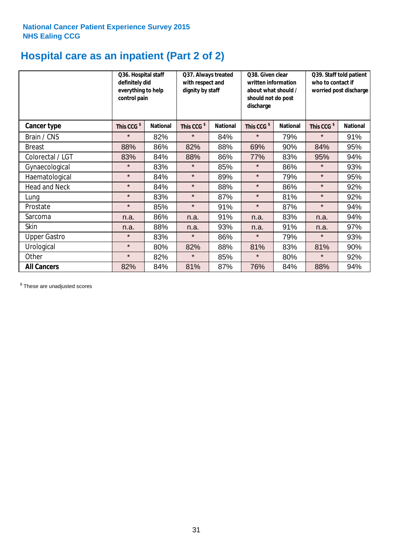# **Hospital care as an inpatient (Part 2 of 2)**

|                      | Q36. Hospital staff<br>definitely did<br>everything to help<br>control pain |                 | Q37. Always treated<br>with respect and<br>dignity by staff |                 | Q38. Given clear<br>written information<br>about what should /<br>should not do post<br>discharge |                 | Q39. Staff told patient<br>who to contact if<br>worried post discharge |                 |  |
|----------------------|-----------------------------------------------------------------------------|-----------------|-------------------------------------------------------------|-----------------|---------------------------------------------------------------------------------------------------|-----------------|------------------------------------------------------------------------|-----------------|--|
| Cancer type          | This CCG <sup>\$</sup>                                                      | <b>National</b> | This CCG <sup>\$</sup>                                      | <b>National</b> | This CCG <sup>\$</sup>                                                                            | <b>National</b> | This CCG <sup>\$</sup>                                                 | <b>National</b> |  |
| Brain / CNS          | $\star$                                                                     | 82%             | $\star$                                                     | 84%             | $\star$                                                                                           | 79%             | $\star$                                                                | 91%             |  |
| <b>Breast</b>        | 88%                                                                         | 86%             | 82%                                                         | 88%             | 69%                                                                                               | 90%             | 84%                                                                    | 95%             |  |
| Colorectal / LGT     | 83%                                                                         | 84%             | 88%                                                         | 86%             | 77%                                                                                               | 83%             | 95%                                                                    | 94%             |  |
| Gynaecological       | $\star$                                                                     | 83%             | $\star$                                                     | 85%             | $\star$                                                                                           | 86%             | $\star$                                                                | 93%             |  |
| Haematological       | $\star$                                                                     | 84%             | $\star$                                                     | 89%             | $\star$                                                                                           | 79%             | $\star$                                                                | 95%             |  |
| <b>Head and Neck</b> | $\star$                                                                     | 84%             | $\star$                                                     | 88%             | $\star$                                                                                           | 86%             | $\star$                                                                | 92%             |  |
| Lung                 | $\star$                                                                     | 83%             | $\star$                                                     | 87%             | $\star$                                                                                           | 81%             | $\star$                                                                | 92%             |  |
| Prostate             | $\star$                                                                     | 85%             | $\star$                                                     | 91%             | $\star$                                                                                           | 87%             | $\star$                                                                | 94%             |  |
| Sarcoma              | n.a.                                                                        | 86%             | n.a.                                                        | 91%             | n.a.                                                                                              | 83%             | n.a.                                                                   | 94%             |  |
| Skin                 | n.a.                                                                        | 88%             | n.a.                                                        | 93%             | n.a.                                                                                              | 91%             | n.a.                                                                   | 97%             |  |
| <b>Upper Gastro</b>  | $\star$                                                                     | 83%             | $\star$                                                     | 86%             | $\star$                                                                                           | 79%             | $\star$                                                                | 93%             |  |
| Urological           | $\star$                                                                     | 80%             | 82%                                                         | 88%             | 81%                                                                                               | 83%             | 81%                                                                    | 90%             |  |
| Other                | $\star$                                                                     | 82%             | $\star$                                                     | 85%             | $\star$                                                                                           | 80%             | $\star$                                                                | 92%             |  |
| <b>All Cancers</b>   | 82%                                                                         | 84%             | 81%                                                         | 87%             | 76%                                                                                               | 84%             | 88%                                                                    | 94%             |  |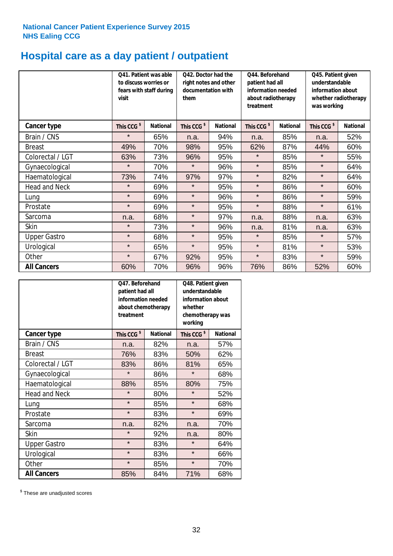# **Hospital care as a day patient / outpatient**

|                      | to discuss worries or<br>visit | Q41. Patient was able<br>fears with staff during | Q42. Doctor had the<br>right notes and other<br>documentation with<br>them |                 | Q44. Beforehand<br>patient had all<br>information needed<br>about radiotherapy<br>treatment |                 | Q45. Patient given<br>understandable<br>information about<br>whether radiotherapy<br>was working |                 |
|----------------------|--------------------------------|--------------------------------------------------|----------------------------------------------------------------------------|-----------------|---------------------------------------------------------------------------------------------|-----------------|--------------------------------------------------------------------------------------------------|-----------------|
| <b>Cancer type</b>   | This CCG <sup>\$</sup>         | <b>National</b>                                  | This CCG <sup>\$</sup>                                                     | <b>National</b> | This CCG <sup>\$</sup>                                                                      | <b>National</b> | This CCG <sup>\$</sup>                                                                           | <b>National</b> |
| Brain / CNS          | $\star$                        | 65%                                              | n.a.                                                                       | 94%             | n.a.                                                                                        | 85%             | n.a.                                                                                             | 52%             |
| <b>Breast</b>        | 49%                            | 70%                                              | 98%                                                                        | 95%             | 62%                                                                                         | 87%             | 44%                                                                                              | 60%             |
| Colorectal / LGT     | 63%                            | 73%                                              | 96%                                                                        | 95%             | $\star$                                                                                     | 85%             | $\star$                                                                                          | 55%             |
| Gynaecological       | $\star$                        | 70%                                              | $\star$                                                                    | 96%             | $\star$                                                                                     | 85%             | $\star$                                                                                          | 64%             |
| Haematological       | 73%                            | 74%                                              | 97%                                                                        | 97%             | $\star$                                                                                     | 82%             | $\star$                                                                                          | 64%             |
| <b>Head and Neck</b> | $\star$                        | 69%                                              | $\star$                                                                    | 95%             | $\star$                                                                                     | 86%             | $\star$                                                                                          | 60%             |
| Lung                 | $\star$                        | 69%                                              | $\star$                                                                    | 96%             | $\star$                                                                                     | 86%             | $\star$                                                                                          | 59%             |
| Prostate             | $\star$                        | 69%                                              | $\star$                                                                    | 95%             | $\star$                                                                                     | 88%             | $\star$                                                                                          | 61%             |
| Sarcoma              | n.a.                           | 68%                                              | $\star$                                                                    | 97%             | n.a.                                                                                        | 88%             | n.a.                                                                                             | 63%             |
| Skin                 | $\star$                        | 73%                                              | $\star$                                                                    | 96%             | n.a.                                                                                        | 81%             | n.a.                                                                                             | 63%             |
| <b>Upper Gastro</b>  | $\star$                        | 68%                                              | $\star$                                                                    | 95%             | $\star$                                                                                     | 85%             | $\star$                                                                                          | 57%             |
| Urological           | $\star$                        | 65%                                              | $\star$                                                                    | 95%             | $\star$                                                                                     | 81%             | $\star$                                                                                          | 53%             |
| Other                | $\star$                        | 67%                                              | 92%                                                                        | 95%             | $\star$                                                                                     | 83%             | $\star$                                                                                          | 59%             |
| <b>All Cancers</b>   | 60%                            | 70%                                              | 96%                                                                        | 96%             | 76%                                                                                         | 86%             | 52%                                                                                              | 60%             |

|                      | Q47. Beforehand<br>patient had all<br>information needed<br>about chemotherapy<br>treatment |                 | Q48. Patient given<br>understandable<br>information about<br>whether<br>chemotherapy was<br>working |                 |  |
|----------------------|---------------------------------------------------------------------------------------------|-----------------|-----------------------------------------------------------------------------------------------------|-----------------|--|
| <b>Cancer type</b>   | This CCG <sup>\$</sup>                                                                      | <b>National</b> | This CCG <sup>\$</sup>                                                                              | <b>National</b> |  |
| Brain / CNS          | n.a.                                                                                        | 82%             | n.a.                                                                                                | 57%             |  |
| <b>Breast</b>        | 76%                                                                                         | 83%             | 50%                                                                                                 | 62%             |  |
| Colorectal / LGT     | 83%                                                                                         | 86%             | 81%                                                                                                 | 65%             |  |
| Gynaecological       | $\star$                                                                                     | 86%             | $\star$                                                                                             | 68%             |  |
| Haematological       | 88%<br>85%                                                                                  |                 | 80%                                                                                                 | 75%             |  |
| <b>Head and Neck</b> | $\star$                                                                                     | 80%             | $\star$                                                                                             | 52%             |  |
| Lung                 | $\star$                                                                                     | 85%             | $\star$                                                                                             | 68%             |  |
| Prostate             | $\star$                                                                                     | 83%             | $\star$                                                                                             | 69%             |  |
| Sarcoma              | n.a.                                                                                        | 82%             | n.a.                                                                                                | 70%             |  |
| Skin                 | $\star$                                                                                     | 92%             | n.a.                                                                                                | 80%             |  |
| <b>Upper Gastro</b>  | $\star$                                                                                     | 83%             | $\star$                                                                                             | 64%             |  |
| Urological           | $\star$                                                                                     | 83%             | $\star$                                                                                             | 66%             |  |
| Other                | $\star$                                                                                     | 85%             | $\star$                                                                                             | 70%             |  |
| <b>All Cancers</b>   | 85%                                                                                         | 84%             | 71%                                                                                                 | 68%             |  |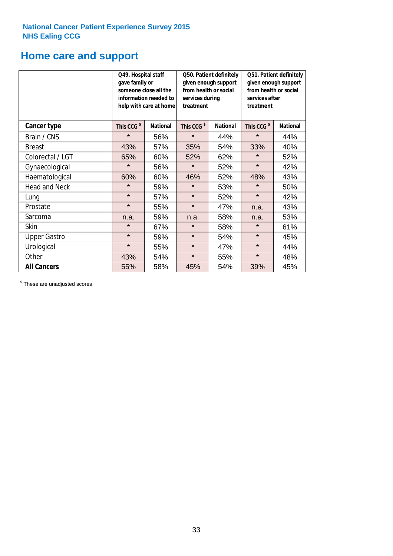# **Home care and support**

|                      | Q49. Hospital staff<br>gave family or | someone close all the<br>information needed to<br>help with care at home | Q50. Patient definitely<br>given enough support<br>from health or social<br>services during<br>treatment |                 | Q51. Patient definitely<br>given enough support<br>from health or social<br>services after<br>treatment |                 |
|----------------------|---------------------------------------|--------------------------------------------------------------------------|----------------------------------------------------------------------------------------------------------|-----------------|---------------------------------------------------------------------------------------------------------|-----------------|
| <b>Cancer type</b>   | This CCG <sup>\$</sup>                | <b>National</b>                                                          | This CCG <sup>\$</sup>                                                                                   | <b>National</b> | This CCG <sup>\$</sup>                                                                                  | <b>National</b> |
| Brain / CNS          | $\star$                               | 56%                                                                      | $\star$                                                                                                  | 44%             | $\star$                                                                                                 | 44%             |
| <b>Breast</b>        | 43%                                   | 57%                                                                      | 35%                                                                                                      | 54%             | 33%                                                                                                     | 40%             |
| Colorectal / LGT     | 65%                                   | 60%                                                                      | 52%                                                                                                      | 62%             | $\star$                                                                                                 | 52%             |
| Gynaecological       | $\star$                               | 56%                                                                      | $\star$                                                                                                  | 52%             | $\star$                                                                                                 | 42%             |
| Haematological       | 60%                                   | 60%                                                                      | 46%                                                                                                      | 52%             | 48%                                                                                                     | 43%             |
| <b>Head and Neck</b> | $\star$                               | 59%                                                                      | $\star$                                                                                                  | 53%             | $\star$                                                                                                 | 50%             |
| Lung                 | $\star$                               | 57%                                                                      | $\star$                                                                                                  | 52%             | $\star$                                                                                                 | 42%             |
| Prostate             | $\star$                               | 55%                                                                      | $\star$                                                                                                  | 47%             | n.a.                                                                                                    | 43%             |
| Sarcoma              | n.a.                                  | 59%                                                                      | n.a.                                                                                                     | 58%             | n.a.                                                                                                    | 53%             |
| Skin                 | $\star$                               | 67%                                                                      | $\star$                                                                                                  | 58%             | $\star$                                                                                                 | 61%             |
| <b>Upper Gastro</b>  | $\star$                               | 59%                                                                      | $\star$                                                                                                  | 54%             | $\star$                                                                                                 | 45%             |
| Urological           | $\star$                               | 55%                                                                      | $\star$                                                                                                  | 47%             | $\star$                                                                                                 | 44%             |
| Other                | 43%                                   | 54%                                                                      | $\star$                                                                                                  | 55%             | $\star$                                                                                                 | 48%             |
| <b>All Cancers</b>   | 55%                                   | 58%                                                                      | 45%                                                                                                      | 54%             | 39%                                                                                                     | 45%             |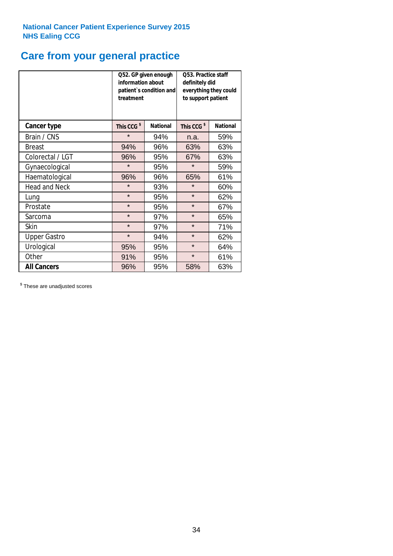# **Care from your general practice**

|                      | information about<br>treatment | Q52. GP given enough<br>patient's condition and | O53. Practice staff<br>definitely did<br>everything they could<br>to support patient |                 |  |
|----------------------|--------------------------------|-------------------------------------------------|--------------------------------------------------------------------------------------|-----------------|--|
| <b>Cancer type</b>   | This CCG <sup>\$</sup>         | <b>National</b>                                 | This CCG <sup>\$</sup>                                                               | <b>National</b> |  |
| Brain / CNS          | $\star$                        | 94%                                             | n.a.                                                                                 | 59%             |  |
| <b>Breast</b>        | 94%                            | 96%                                             | 63%                                                                                  | 63%             |  |
| Colorectal / LGT     | 96%                            | 95%                                             | 67%                                                                                  | 63%             |  |
| Gynaecological       | $\star$<br>95%                 |                                                 | $\star$                                                                              | 59%             |  |
| Haematological       | 96%                            | 96%                                             |                                                                                      | 61%             |  |
| <b>Head and Neck</b> | $\star$                        | 93%                                             | $\star$                                                                              | 60%             |  |
| Lung                 | $\star$                        | 95%                                             | $\star$                                                                              | 62%             |  |
| Prostate             | $\star$                        | 95%                                             | $\star$                                                                              | 67%             |  |
| Sarcoma              | $\star$                        | 97%                                             | $\star$                                                                              | 65%             |  |
| Skin                 | $\star$                        | 97%                                             | $\star$                                                                              | 71%             |  |
| <b>Upper Gastro</b>  | $\star$                        | 94%                                             | $\star$                                                                              | 62%             |  |
| Urological           | 95%                            | 95%                                             | $\star$                                                                              | 64%             |  |
| Other                | 91%                            | 95%                                             | $\star$                                                                              | 61%             |  |
| <b>All Cancers</b>   | 96%                            | 95%                                             | 58%                                                                                  | 63%             |  |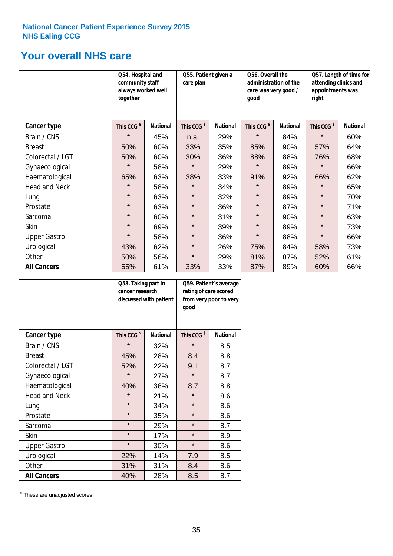# **Your overall NHS care**

|                      | together               | Q54. Hospital and<br>community staff<br>always worked well |                        | Q55. Patient given a | Q56. Overall the<br>administration of the<br>care was very good /<br>qood |                 | Q57. Length of time for<br>attending clinics and<br>appointments was<br>right |                 |
|----------------------|------------------------|------------------------------------------------------------|------------------------|----------------------|---------------------------------------------------------------------------|-----------------|-------------------------------------------------------------------------------|-----------------|
| Cancer type          | This CCG <sup>\$</sup> | <b>National</b>                                            | This CCG <sup>\$</sup> | <b>National</b>      | This CCG <sup>\$</sup>                                                    | <b>National</b> | This CCG <sup>\$</sup>                                                        | <b>National</b> |
| Brain / CNS          | $\star$                | 45%                                                        | n.a.                   | 29%                  | $\star$                                                                   | 84%             | $\star$                                                                       | 60%             |
| <b>Breast</b>        | 50%                    | 60%                                                        | 33%                    | 35%                  | 85%                                                                       | 90%             | 57%                                                                           | 64%             |
| Colorectal / LGT     | 50%                    | 60%                                                        | 30%                    | 36%                  | 88%                                                                       | 88%             | 76%                                                                           | 68%             |
| Gynaecological       | $\star$                | 58%                                                        | $\star$                | 29%                  | $\star$                                                                   | 89%             | $\star$                                                                       | 66%             |
| Haematological       | 65%                    | 63%                                                        | 38%                    | 33%                  | 91%                                                                       | 92%             | 66%                                                                           | 62%             |
| <b>Head and Neck</b> | $\star$                | 58%                                                        | $\star$                | 34%                  | $\star$                                                                   | 89%             | $\star$                                                                       | 65%             |
| Lung                 | $\star$                | 63%                                                        | $\star$                | 32%                  | $\star$                                                                   | 89%             | $\star$                                                                       | 70%             |
| Prostate             | $\star$                | 63%                                                        | $\star$                | 36%                  | $\star$                                                                   | 87%             | $\star$                                                                       | 71%             |
| Sarcoma              | $\star$                | 60%                                                        | $\star$                | 31%                  | $\star$                                                                   | 90%             | $\star$                                                                       | 63%             |
| Skin                 | $\star$                | 69%                                                        | $\star$                | 39%                  | $\star$                                                                   | 89%             | $\star$                                                                       | 73%             |
| <b>Upper Gastro</b>  | $\star$                | 58%                                                        | $\star$                | 36%                  | $\star$                                                                   | 88%             | $\star$                                                                       | 66%             |
| Urological           | 43%                    | 62%                                                        | $\star$                | 26%                  | 75%                                                                       | 84%             | 58%                                                                           | 73%             |
| Other                | 50%                    | 56%                                                        | $\star$                | 29%                  | 81%                                                                       | 87%             | 52%                                                                           | 61%             |
| <b>All Cancers</b>   | 55%                    | 61%                                                        | 33%                    | 33%                  | 87%                                                                       | 89%             | 60%                                                                           | 66%             |

|                      | Q58. Taking part in<br>cancer research | discussed with patient | Q59. Patient's average<br>rating of care scored<br>from very poor to very<br>good |                 |  |
|----------------------|----------------------------------------|------------------------|-----------------------------------------------------------------------------------|-----------------|--|
| <b>Cancer type</b>   | This CCG <sup>\$</sup>                 | <b>National</b>        | This CCG <sup>\$</sup>                                                            | <b>National</b> |  |
| Brain / CNS          | $\star$                                | 32%                    | $\star$                                                                           | 8.5             |  |
| <b>Breast</b>        | 45%                                    | 28%                    | 8.4                                                                               | 8.8             |  |
| Colorectal / LGT     | 52%                                    | 22%                    | 9.1                                                                               | 8.7             |  |
| Gynaecological       | $\star$<br>27%                         |                        | $\star$                                                                           | 8.7             |  |
| Haematological       | 40%                                    | 36%                    | 8.7                                                                               | 8.8             |  |
| <b>Head and Neck</b> | $\star$                                | 21%                    | $\star$                                                                           | 8.6             |  |
| Lung                 | $\star$                                | 34%                    | $\star$                                                                           | 8.6             |  |
| Prostate             | $\star$                                | 35%                    | $\star$                                                                           | 8.6             |  |
| Sarcoma              | $\star$                                | 29%                    | $\star$                                                                           | 8.7             |  |
| Skin                 | $\star$                                | 17%                    | $\star$                                                                           | 8.9             |  |
| <b>Upper Gastro</b>  | $\star$                                | 30%                    | $\star$                                                                           | 8.6             |  |
| Urological           | 22%                                    | 14%                    | 7.9                                                                               | 8.5             |  |
| Other                | 31%                                    | 31%                    | 8.4                                                                               | 8.6             |  |
| <b>All Cancers</b>   | 40%                                    | 28%                    | 8.5                                                                               | 8.7             |  |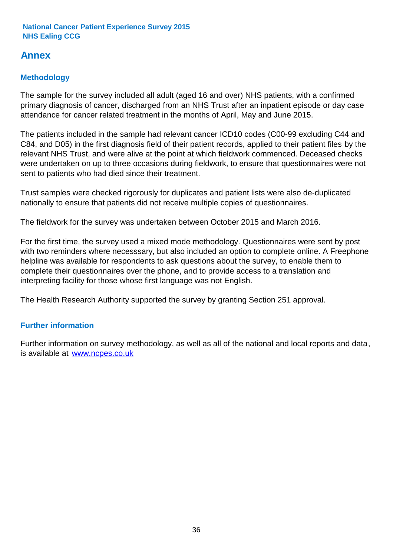# **Annex**

# **Methodology**

The sample for the survey included all adult (aged 16 and over) NHS patients, with a confirmed primary diagnosis of cancer, discharged from an NHS Trust after an inpatient episode or day case attendance for cancer related treatment in the months of April, May and June 2015.

The patients included in the sample had relevant cancer ICD10 codes (C00-99 excluding C44 and C84, and D05) in the first diagnosis field of their patient records, applied to their patient files by the relevant NHS Trust, and were alive at the point at which fieldwork commenced. Deceased checks were undertaken on up to three occasions during fieldwork, to ensure that questionnaires were not sent to patients who had died since their treatment.

Trust samples were checked rigorously for duplicates and patient lists were also de-duplicated nationally to ensure that patients did not receive multiple copies of questionnaires.

The fieldwork for the survey was undertaken between October 2015 and March 2016.

For the first time, the survey used a mixed mode methodology. Questionnaires were sent by post with two reminders where necesssary, but also included an option to complete online. A Freephone helpline was available for respondents to ask questions about the survey, to enable them to complete their questionnaires over the phone, and to provide access to a translation and interpreting facility for those whose first language was not English.

The Health Research Authority supported the survey by granting Section 251 approval.

# **Further information**

Further information on survey methodology, as well as all of the national and local reports and data, is available at www.ncpes.co.uk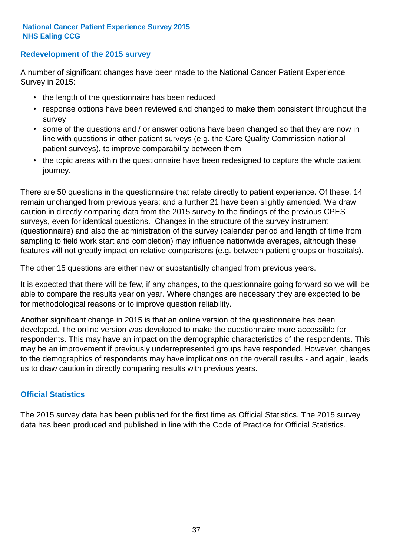### **Redevelopment of the 2015 survey**

A number of significant changes have been made to the National Cancer Patient Experience Survey in 2015:

- the length of the questionnaire has been reduced
- response options have been reviewed and changed to make them consistent throughout the survey
- some of the questions and / or answer options have been changed so that they are now in line with questions in other patient surveys (e.g. the Care Quality Commission national patient surveys), to improve comparability between them
- the topic areas within the questionnaire have been redesigned to capture the whole patient journey.

There are 50 questions in the questionnaire that relate directly to patient experience. Of these, 14 remain unchanged from previous years; and a further 21 have been slightly amended. We draw caution in directly comparing data from the 2015 survey to the findings of the previous CPES surveys, even for identical questions. Changes in the structure of the survey instrument (questionnaire) and also the administration of the survey (calendar period and length of time from sampling to field work start and completion) may influence nationwide averages, although these features will not greatly impact on relative comparisons (e.g. between patient groups or hospitals).

The other 15 questions are either new or substantially changed from previous years.

It is expected that there will be few, if any changes, to the questionnaire going forward so we will be able to compare the results year on year. Where changes are necessary they are expected to be for methodological reasons or to improve question reliability.

Another significant change in 2015 is that an online version of the questionnaire has been developed. The online version was developed to make the questionnaire more accessible for respondents. This may have an impact on the demographic characteristics of the respondents. This may be an improvement if previously underrepresented groups have responded. However, changes to the demographics of respondents may have implications on the overall results - and again, leads us to draw caution in directly comparing results with previous years.

# **Official Statistics**

The 2015 survey data has been published for the first time as Official Statistics. The 2015 survey data has been produced and published in line with the Code of Practice for Official Statistics.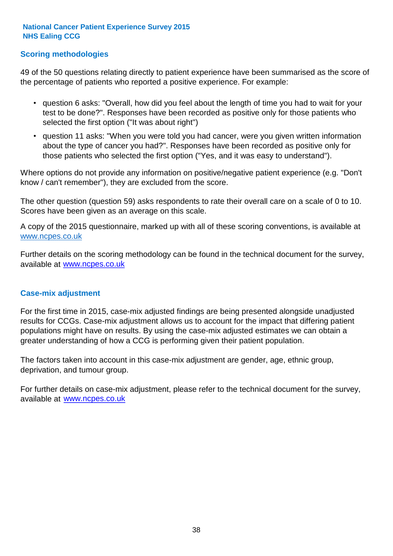# **Scoring methodologies**

49 of the 50 questions relating directly to patient experience have been summarised as the score of the percentage of patients who reported a positive experience. For example:

- question 6 asks: "Overall, how did you feel about the length of time you had to wait for your test to be done?". Responses have been recorded as positive only for those patients who selected the first option ("It was about right")
- question 11 asks: "When you were told you had cancer, were you given written information about the type of cancer you had?". Responses have been recorded as positive only for those patients who selected the first option ("Yes, and it was easy to understand").

Where options do not provide any information on positive/negative patient experience (e.g. "Don't know / can't remember"), they are excluded from the score.

The other question (question 59) asks respondents to rate their overall care on a scale of 0 to 10. Scores have been given as an average on this scale.

A copy of the 2015 questionnaire, marked up with all of these scoring conventions, is available at www.ncpes.co.uk

Further details on the scoring methodology can be found in the technical document for the survey, available at <u>www.ncpes.co.uk</u>

#### **Case-mix adjustment**

For the first time in 2015, case-mix adjusted findings are being presented alongside unadjusted results for CCGs. Case-mix adjustment allows us to account for the impact that differing patient populations might have on results. By using the case-mix adjusted estimates we can obtain a greater understanding of how a CCG is performing given their patient population.

The factors taken into account in this case-mix adjustment are gender, age, ethnic group, deprivation, and tumour group.

For further details on case-mix adjustment, please refer to the technical document for the survey, available at www.ncpes.co.uk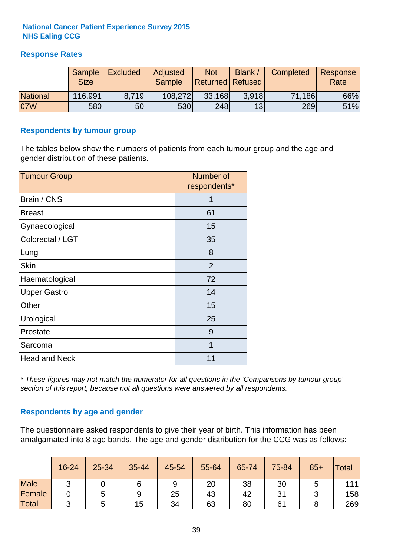# **Response Rates**

|                 | Sample<br><b>Size</b> | <b>Excluded</b> | <b>Adjusted</b><br><b>Sample</b> | <b>Not</b><br><b>Returned Refused</b> | Blank | <b>Completed</b> | Response<br>Rate |
|-----------------|-----------------------|-----------------|----------------------------------|---------------------------------------|-------|------------------|------------------|
| <b>National</b> | 116,991               | 8.719           | 108,272                          | 33,168                                | 3.918 | 71,186           | 66%              |
| 07W             | <b>580</b>            | 50              | 530                              | 248                                   | 13    | 269              | 51%              |

#### **Respondents by tumour group**

The tables below show the numbers of patients from each tumour group and the age and gender distribution of these patients.

| <b>Tumour Group</b>  | Number of<br>respondents* |  |  |
|----------------------|---------------------------|--|--|
| Brain / CNS          | 1                         |  |  |
| <b>Breast</b>        | 61                        |  |  |
| Gynaecological       | 15                        |  |  |
| Colorectal / LGT     | 35                        |  |  |
| Lung                 | 8                         |  |  |
| <b>Skin</b>          | 2                         |  |  |
| Haematological       | 72                        |  |  |
| <b>Upper Gastro</b>  | 14                        |  |  |
| Other                | 15                        |  |  |
| Urological           | 25                        |  |  |
| Prostate             | 9                         |  |  |
| Sarcoma              | 1                         |  |  |
| <b>Head and Neck</b> | 11                        |  |  |

*\* These figures may not match the numerator for all questions in the 'Comparisons by tumour group' section of this report, because not all questions were answered by all respondents.*

# **Respondents by age and gender**

The questionnaire asked respondents to give their year of birth. This information has been amalgamated into 8 age bands. The age and gender distribution for the CCG was as follows:

|             | 16-24  | 25-34 | 35-44 | 45-54 | 55-64 | 65-74 | 75-84 | $85+$ | Total |
|-------------|--------|-------|-------|-------|-------|-------|-------|-------|-------|
| <b>Male</b> | $\sim$ |       |       | 9     | 20    | 38    | 30    |       | 111   |
| Female      |        |       | 9     | 25    | 43    | 42    | 31    |       | 158   |
| Total       | ⌒      |       | 15    | 34    | 63    | 80    | 61    |       | 269   |